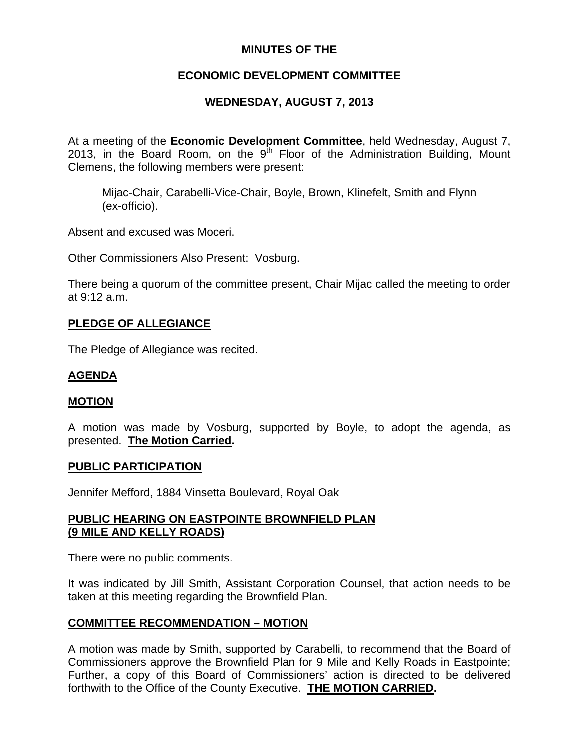## **MINUTES OF THE**

# **ECONOMIC DEVELOPMENT COMMITTEE**

# **WEDNESDAY, AUGUST 7, 2013**

At a meeting of the **Economic Development Committee**, held Wednesday, August 7, 2013, in the Board Room, on the  $9<sup>th</sup>$  Floor of the Administration Building, Mount Clemens, the following members were present:

Mijac-Chair, Carabelli-Vice-Chair, Boyle, Brown, Klinefelt, Smith and Flynn (ex-officio).

Absent and excused was Moceri.

Other Commissioners Also Present: Vosburg.

There being a quorum of the committee present, Chair Mijac called the meeting to order at 9:12 a.m.

## **PLEDGE OF ALLEGIANCE**

The Pledge of Allegiance was recited.

## **AGENDA**

## **MOTION**

A motion was made by Vosburg, supported by Boyle, to adopt the agenda, as presented. **The Motion Carried.** 

#### **PUBLIC PARTICIPATION**

Jennifer Mefford, 1884 Vinsetta Boulevard, Royal Oak

### **PUBLIC HEARING ON EASTPOINTE BROWNFIELD PLAN (9 MILE AND KELLY ROADS)**

There were no public comments.

It was indicated by Jill Smith, Assistant Corporation Counsel, that action needs to be taken at this meeting regarding the Brownfield Plan.

#### **COMMITTEE RECOMMENDATION – MOTION**

A motion was made by Smith, supported by Carabelli, to recommend that the Board of Commissioners approve the Brownfield Plan for 9 Mile and Kelly Roads in Eastpointe; Further, a copy of this Board of Commissioners' action is directed to be delivered forthwith to the Office of the County Executive. **THE MOTION CARRIED.**